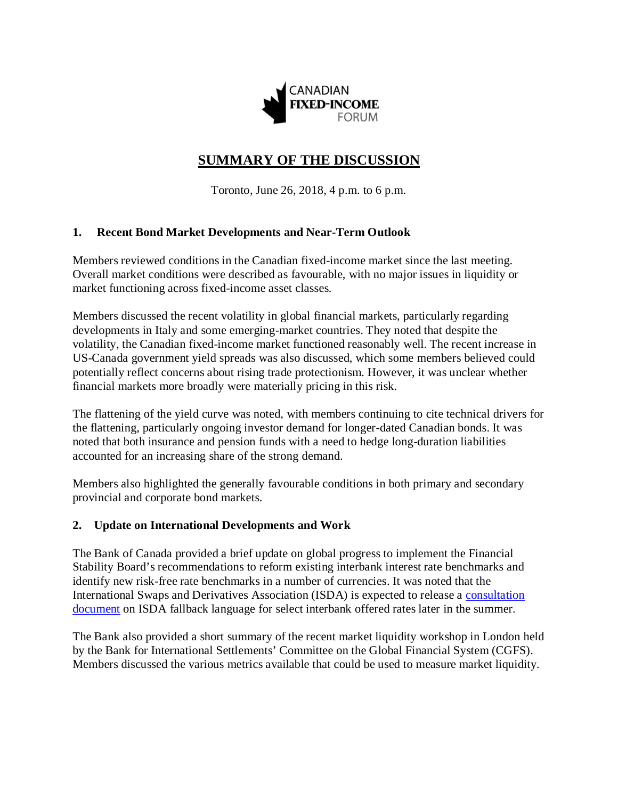

# **SUMMARY OF THE DISCUSSION**

Toronto, June 26, 2018, 4 p.m. to 6 p.m.

### **1. Recent Bond Market Developments and Near-Term Outlook**

Members reviewed conditions in the Canadian fixed-income market since the last meeting. Overall market conditions were described as favourable, with no major issues in liquidity or market functioning across fixed-income asset classes.

Members discussed the recent volatility in global financial markets, particularly regarding developments in Italy and some emerging-market countries. They noted that despite the volatility, the Canadian fixed-income market functioned reasonably well. The recent increase in US-Canada government yield spreads was also discussed, which some members believed could potentially reflect concerns about rising trade protectionism. However, it was unclear whether financial markets more broadly were materially pricing in this risk.

The flattening of the yield curve was noted, with members continuing to cite technical drivers for the flattening, particularly ongoing investor demand for longer-dated Canadian bonds. It was noted that both insurance and pension funds with a need to hedge long-duration liabilities accounted for an increasing share of the strong demand.

Members also highlighted the generally favourable conditions in both primary and secondary provincial and corporate bond markets.

#### **2. Update on International Developments and Work**

The Bank of Canada provided a brief update on global progress to implement the Financial Stability Board's recommendations to reform existing interbank interest rate benchmarks and identify new risk-free rate benchmarks in a number of currencies. It was noted that the International Swaps and Derivatives Association (ISDA) is expected to release a [consultation](http://assets.isda.org/media/f253b540-193/42c13663-pdf/)  [document](http://assets.isda.org/media/f253b540-193/42c13663-pdf/) on ISDA fallback language for select interbank offered rates later in the summer.

The Bank also provided a short summary of the recent market liquidity workshop in London held by the Bank for International Settlements' Committee on the Global Financial System (CGFS). Members discussed the various metrics available that could be used to measure market liquidity.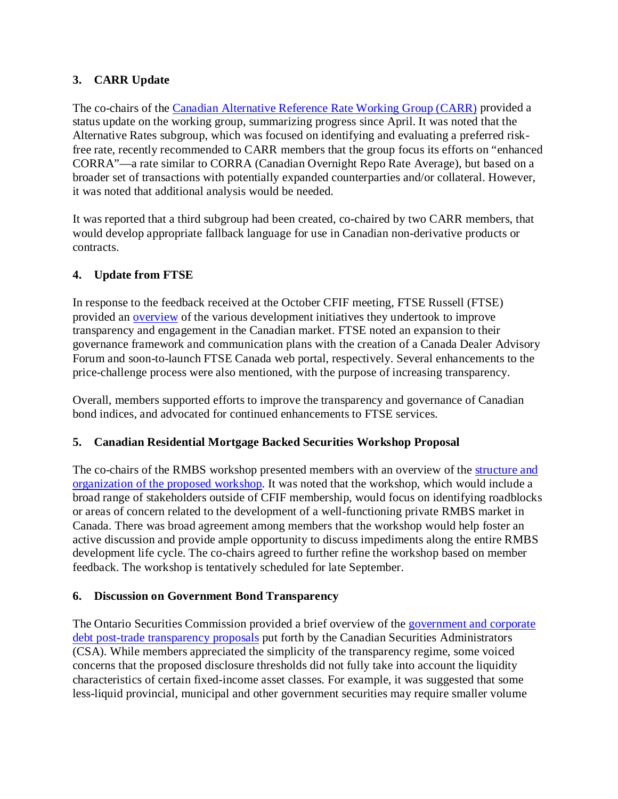## **3. CARR Update**

The co-chairs of the [Canadian Alternative Reference Rate Working Group \(CARR\)](https://www.bankofcanada.ca/markets/canadian-alternative-reference-rate-working-group/) provided a status update on the working group, summarizing progress since April. It was noted that the Alternative Rates subgroup, which was focused on identifying and evaluating a preferred riskfree rate, recently recommended to CARR members that the group focus its efforts on "enhanced CORRA"—a rate similar to CORRA (Canadian Overnight Repo Rate Average), but based on a broader set of transactions with potentially expanded counterparties and/or collateral. However, it was noted that additional analysis would be needed.

It was reported that a third subgroup had been created, co-chaired by two CARR members, that would develop appropriate fallback language for use in Canadian non-derivative products or contracts.

### **4. Update from FTSE**

In response to the feedback received at the October CFIF meeting, FTSE Russell (FTSE) provided an [overview](https://www.bankofcanada.ca/?p=200090) of the various development initiatives they undertook to improve transparency and engagement in the Canadian market. FTSE noted an expansion to their governance framework and communication plans with the creation of a Canada Dealer Advisory Forum and soon-to-launch FTSE Canada web portal, respectively. Several enhancements to the price-challenge process were also mentioned, with the purpose of increasing transparency.

Overall, members supported efforts to improve the transparency and governance of Canadian bond indices, and advocated for continued enhancements to FTSE services.

### **5. Canadian Residential Mortgage Backed Securities Workshop Proposal**

The co-chairs of the RMBS workshop presented members with an overview of the [structure and](https://www.bankofcanada.ca/?p=200076)  [organization of the proposed workshop.](https://www.banqueducanada.ca/?p=200076) It was noted that the workshop, which would include a broad range of stakeholders outside of CFIF membership, would focus on identifying roadblocks or areas of concern related to the development of a well-functioning private RMBS market in Canada. There was broad agreement among members that the workshop would help foster an active discussion and provide ample opportunity to discuss impediments along the entire RMBS development life cycle. The co-chairs agreed to further refine the workshop based on member feedback. The workshop is tentatively scheduled for late September.

### **6. Discussion on Government Bond Transparency**

The Ontario Securities Commission provided a brief overview of the [government and corporate](https://www.bankofcanada.ca/?p=200088)  [debt post-trade transparency proposals](https://www.banqueducanada.ca/?p=200088) put forth by the Canadian Securities Administrators (CSA). While members appreciated the simplicity of the transparency regime, some voiced concerns that the proposed disclosure thresholds did not fully take into account the liquidity characteristics of certain fixed-income asset classes. For example, it was suggested that some less-liquid provincial, municipal and other government securities may require smaller volume